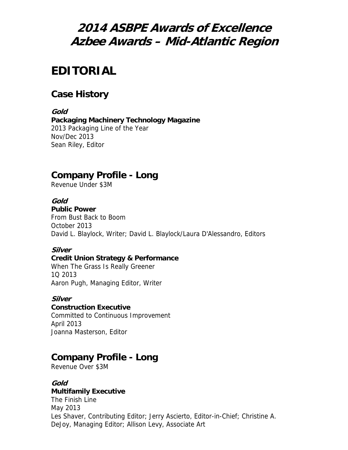# **2014 ASBPE Awards of Excellence Azbee Awards – Mid-Atlantic Region**

# **EDITORIAL**

# **Case History**

**Gold Packaging Machinery Technology Magazine** 2013 Packaging Line of the Year Nov/Dec 2013 Sean Riley, Editor

# **Company Profile - Long**

Revenue Under \$3M

### **Gold**

**Public Power** From Bust Back to Boom October 2013 David L. Blaylock, Writer; David L. Blaylock/Laura D'Alessandro, Editors

### **Silver**

### **Credit Union Strategy & Performance**

When The Grass Is Really Greener 1Q 2013 Aaron Pugh, Managing Editor, Writer

### **Silver**

# **Construction Executive**

Committed to Continuous Improvement April 2013 Joanna Masterson, Editor

# **Company Profile - Long**

Revenue Over \$3M

### **Gold**

### **Multifamily Executive**

The Finish Line May 2013 Les Shaver, Contributing Editor; Jerry Ascierto, Editor-in-Chief; Christine A. DeJoy, Managing Editor; Allison Levy, Associate Art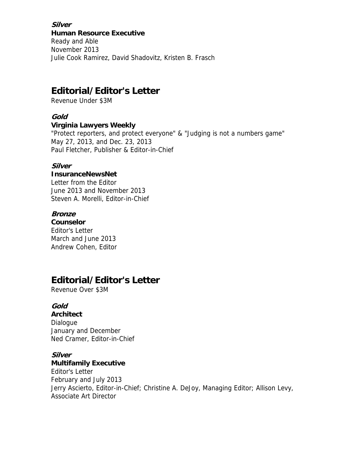**Silver Human Resource Executive** Ready and Able November 2013 Julie Cook Ramirez, David Shadovitz, Kristen B. Frasch

# **Editorial/Editor's Letter**

Revenue Under \$3M

#### **Gold**

#### **Virginia Lawyers Weekly**

"Protect reporters, and protect everyone" & "Judging is not a numbers game" May 27, 2013, and Dec. 23, 2013 Paul Fletcher, Publisher & Editor-in-Chief

### **Silver**

#### **InsuranceNewsNet**

Letter from the Editor June 2013 and November 2013 Steven A. Morelli, Editor-in-Chief

#### **Bronze**

**Counselor** Editor's Letter March and June 2013 Andrew Cohen, Editor

# **Editorial/Editor's Letter**

Revenue Over \$3M

### **Gold**

**Architect** Dialogue January and December Ned Cramer, Editor-in-Chief

### **Silver**

#### **Multifamily Executive**

Editor's Letter February and July 2013 Jerry Ascierto, Editor-in-Chief; Christine A. DeJoy, Managing Editor; Allison Levy, Associate Art Director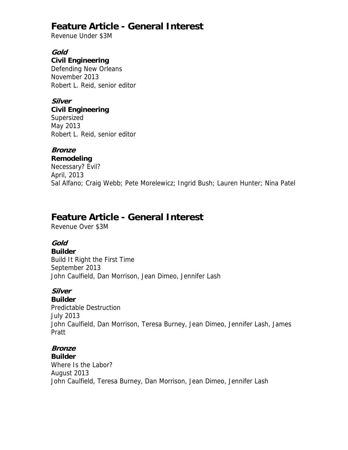# **Feature Article - General Interest**

Revenue Under \$3M

### **Gold**

### **Civil Engineering**

Defending New Orleans November 2013 Robert L. Reid, senior editor

### **Silver**

**Civil Engineering** Supersized May 2013

Robert L. Reid, senior editor

### **Bronze**

**Remodeling** Necessary? Evil? April, 2013 Sal Alfano; Craig Webb; Pete Morelewicz; Ingrid Bush; Lauren Hunter; Nina Patel

# **Feature Article - General Interest**

Revenue Over \$3M

## **Gold**

**Builder** Build It Right the First Time September 2013 John Caulfield, Dan Morrison, Jean Dimeo, Jennifer Lash

## **Silver**

**Builder** Predictable Destruction July 2013 John Caulfield, Dan Morrison, Teresa Burney, Jean Dimeo, Jennifer Lash, James Pratt

# **Bronze**

**Builder**

Where Is the Labor? August 2013 John Caulfield, Teresa Burney, Dan Morrison, Jean Dimeo, Jennifer Lash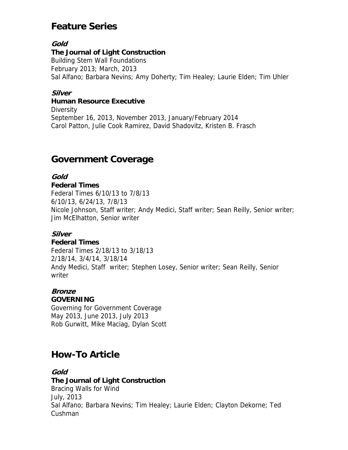# **Feature Series**

### **Gold**

#### **The Journal of Light Construction**

Building Stem Wall Foundations February 2013; March, 2013 Sal Alfano; Barbara Nevins; Amy Doherty; Tim Healey; Laurie Elden; Tim Uhler

### **Silver**

#### **Human Resource Executive**

**Diversity** September 16, 2013, November 2013, January/February 2014 Carol Patton, Julie Cook Ramirez, David Shadovitz, Kristen B. Frasch

## **Government Coverage**

### **Gold**

### **Federal Times**

Federal Times 6/10/13 to 7/8/13 6/10/13, 6/24/13, 7/8/13 Nicole Johnson, Staff writer; Andy Medici, Staff writer; Sean Reilly, Senior writer; Jim McElhatton, Senior writer

### **Silver**

### **Federal Times**

Federal Times 2/18/13 to 3/18/13 2/18/14, 3/4/14, 3/18/14 Andy Medici, Staff writer; Stephen Losey, Senior writer; Sean Reilly, Senior writer

## **Bronze**

### **GOVERNING**

Governing for Government Coverage May 2013, June 2013, July 2013 Rob Gurwitt, Mike Maciag, Dylan Scott

# **How-To Article**

### **Gold**

### **The Journal of Light Construction** Bracing Walls for Wind July, 2013 Sal Alfano; Barbara Nevins; Tim Healey; Laurie Elden; Clayton Dekorne; Ted Cushman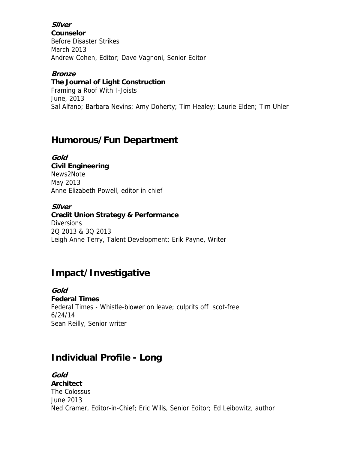### **Silver**

**Counselor** Before Disaster Strikes March 2013 Andrew Cohen, Editor; Dave Vagnoni, Senior Editor

#### **Bronze**

#### **The Journal of Light Construction**

Framing a Roof With I-Joists June, 2013 Sal Alfano; Barbara Nevins; Amy Doherty; Tim Healey; Laurie Elden; Tim Uhler

## **Humorous/Fun Department**

**Gold Civil Engineering** News2Note May 2013 Anne Elizabeth Powell, editor in chief

**Silver Credit Union Strategy & Performance Diversions** 2Q 2013 & 3Q 2013 Leigh Anne Terry, Talent Development; Erik Payne, Writer

# **Impact/Investigative**

**Gold Federal Times** Federal Times - Whistle-blower on leave; culprits off scot-free 6/24/14 Sean Reilly, Senior writer

# **Individual Profile - Long**

**Gold Architect** The Colossus June 2013 Ned Cramer, Editor-in-Chief; Eric Wills, Senior Editor; Ed Leibowitz, author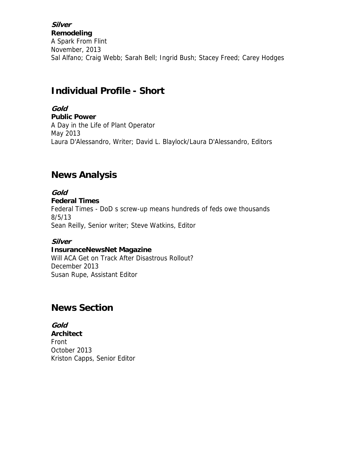**Silver Remodeling** A Spark From Flint November, 2013 Sal Alfano; Craig Webb; Sarah Bell; Ingrid Bush; Stacey Freed; Carey Hodges

# **Individual Profile - Short**

**Gold Public Power** A Day in the Life of Plant Operator May 2013 Laura D'Alessandro, Writer; David L. Blaylock/Laura D'Alessandro, Editors

# **News Analysis**

**Gold Federal Times** Federal Times - DoD s screw-up means hundreds of feds owe thousands 8/5/13 Sean Reilly, Senior writer; Steve Watkins, Editor

### **Silver**

#### **InsuranceNewsNet Magazine**

Will ACA Get on Track After Disastrous Rollout? December 2013 Susan Rupe, Assistant Editor

# **News Section**

**Gold Architect** Front October 2013 Kriston Capps, Senior Editor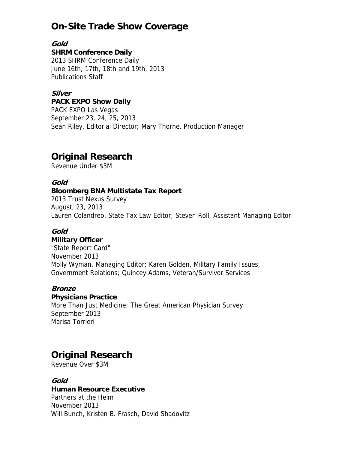# **On-Site Trade Show Coverage**

**Gold** 

#### **SHRM Conference Daily**

2013 SHRM Conference Daily June 16th, 17th, 18th and 19th, 2013 Publications Staff

### **Silver**

#### **PACK EXPO Show Daily**

PACK EXPO Las Vegas September 23, 24, 25, 2013 Sean Riley, Editorial Director; Mary Thorne, Production Manager

# **Original Research**

Revenue Under \$3M

### **Gold**

### **Bloomberg BNA Multistate Tax Report**

2013 Trust Nexus Survey August, 23, 2013 Lauren Colandreo, State Tax Law Editor; Steven Roll, Assistant Managing Editor

### **Gold**

### **Military Officer**

"State Report Card" November 2013 Molly Wyman, Managing Editor; Karen Golden, Military Family Issues, Government Relations; Quincey Adams, Veteran/Survivor Services

### **Bronze**

### **Physicians Practice**

More Than Just Medicine: The Great American Physician Survey September 2013 Marisa Torrieri

# **Original Research**

Revenue Over \$3M

### **Gold**

### **Human Resource Executive**

Partners at the Helm November 2013 Will Bunch, Kristen B. Frasch, David Shadovitz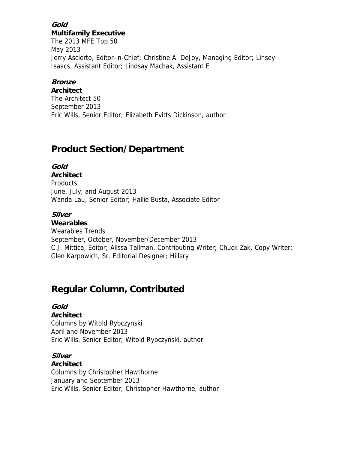### **Gold Multifamily Executive**

The 2013 MFE Top 50 May 2013 Jerry Ascierto, Editor-in-Chief; Christine A. DeJoy, Managing Editor; Linsey Isaacs, Assistant Editor; Lindsay Machak, Assistant E

### **Bronze**

**Architect** The Architect 50 September 2013 Eric Wills, Senior Editor; Elizabeth Evitts Dickinson, author

# **Product Section/Department**

## **Gold**

**Architect** Products June, July, and August 2013 Wanda Lau, Senior Editor; Hallie Busta, Associate Editor

## **Silver**

**Wearables** Wearables Trends September, October, November/December 2013 C.J. Mittica, Editor; Alissa Tallman, Contributing Writer; Chuck Zak, Copy Writer; Glen Karpowich, Sr. Editorial Designer; Hillary

# **Regular Column, Contributed**

## **Gold**

### **Architect**

Columns by Witold Rybczynski April and November 2013 Eric Wills, Senior Editor; Witold Rybczynski, author

## **Silver**

### **Architect**

Columns by Christopher Hawthorne January and September 2013 Eric Wills, Senior Editor; Christopher Hawthorne, author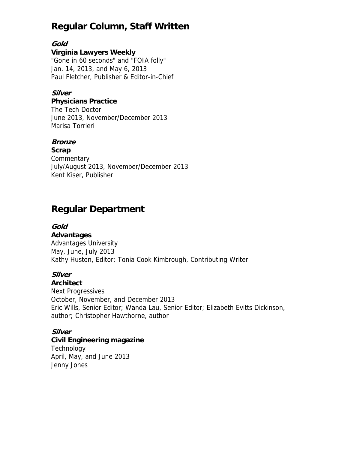# **Regular Column, Staff Written**

### **Gold**

### **Virginia Lawyers Weekly**

"Gone in 60 seconds" and "FOIA folly" Jan. 14, 2013, and May 6, 2013 Paul Fletcher, Publisher & Editor-in-Chief

## **Silver**

#### **Physicians Practice**

The Tech Doctor June 2013, November/December 2013 Marisa Torrieri

### **Bronze**

**Scrap Commentary** July/August 2013, November/December 2013 Kent Kiser, Publisher

# **Regular Department**

### **Gold**

#### **Advantages**

Advantages University May, June, July 2013 Kathy Huston, Editor; Tonia Cook Kimbrough, Contributing Writer

### **Silver**

### **Architect**

Next Progressives October, November, and December 2013 Eric Wills, Senior Editor; Wanda Lau, Senior Editor; Elizabeth Evitts Dickinson, author; Christopher Hawthorne, author

## **Silver**

### **Civil Engineering magazine**

**Technology** April, May, and June 2013 Jenny Jones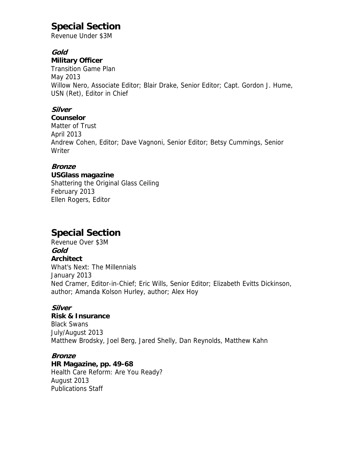# **Special Section**

Revenue Under \$3M

### **Gold**

### **Military Officer**

Transition Game Plan May 2013 Willow Nero, Associate Editor; Blair Drake, Senior Editor; Capt. Gordon J. Hume, USN (Ret), Editor in Chief

## **Silver**

#### **Counselor**

Matter of Trust April 2013 Andrew Cohen, Editor; Dave Vagnoni, Senior Editor; Betsy Cummings, Senior Writer

### **Bronze**

#### **USGlass magazine**

Shattering the Original Glass Ceiling February 2013 Ellen Rogers, Editor

# **Special Section**

Revenue Over \$3M **Gold Architect** What's Next: The Millennials January 2013 Ned Cramer, Editor-in-Chief; Eric Wills, Senior Editor; Elizabeth Evitts Dickinson, author; Amanda Kolson Hurley, author; Alex Hoy

### **Silver**

#### **Risk & Insurance**

Black Swans July/August 2013 Matthew Brodsky, Joel Berg, Jared Shelly, Dan Reynolds, Matthew Kahn

### **Bronze**

**HR Magazine, pp. 49-68** Health Care Reform: Are You Ready? August 2013 Publications Staff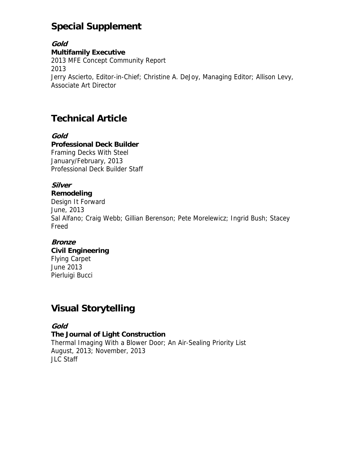# **Special Supplement**

**Gold Multifamily Executive** 2013 MFE Concept Community Report 2013 Jerry Ascierto, Editor-in-Chief; Christine A. DeJoy, Managing Editor; Allison Levy, Associate Art Director

# **Technical Article**

#### **Gold Professional Deck Builder** Framing Decks With Steel January/February, 2013 Professional Deck Builder Staff

# **Silver**

### **Remodeling**

Design It Forward June, 2013 Sal Alfano; Craig Webb; Gillian Berenson; Pete Morelewicz; Ingrid Bush; Stacey Freed

## **Bronze**

# **Civil Engineering** Flying Carpet

June 2013 Pierluigi Bucci

# **Visual Storytelling**

## **Gold**

**The Journal of Light Construction** Thermal Imaging With a Blower Door; An Air-Sealing Priority List August, 2013; November, 2013 JLC Staff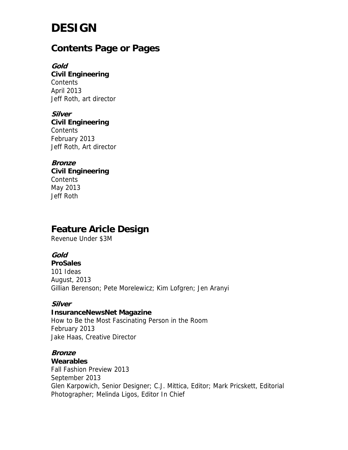# **DESIGN**

# **Contents Page or Pages**

**Gold Civil Engineering Contents** April 2013 Jeff Roth, art director

**Silver Civil Engineering Contents** February 2013 Jeff Roth, Art director

**Bronze Civil Engineering Contents** May 2013 Jeff Roth

# **Feature Aricle Design**

Revenue Under \$3M

**Gold** 

**ProSales** 101 Ideas August, 2013 Gillian Berenson; Pete Morelewicz; Kim Lofgren; Jen Aranyi

### **Silver**

### **InsuranceNewsNet Magazine**

How to Be the Most Fascinating Person in the Room February 2013 Jake Haas, Creative Director

### **Bronze**

**Wearables**

Fall Fashion Preview 2013 September 2013 Glen Karpowich, Senior Designer; C.J. Mittica, Editor; Mark Pricskett, Editorial Photographer; Melinda Ligos, Editor In Chief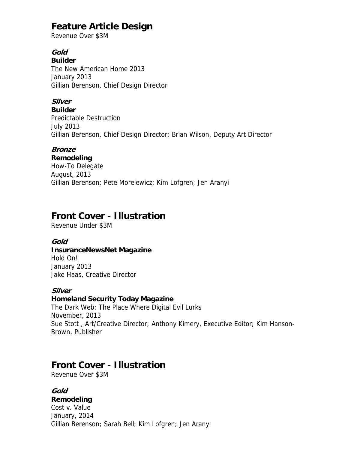# **Feature Article Design**

Revenue Over \$3M

### **Gold**

**Builder**

The New American Home 2013 January 2013 Gillian Berenson, Chief Design Director

## **Silver**

**Builder** Predictable Destruction July 2013 Gillian Berenson, Chief Design Director; Brian Wilson, Deputy Art Director

### **Bronze**

**Remodeling** How-To Delegate August, 2013 Gillian Berenson; Pete Morelewicz; Kim Lofgren; Jen Aranyi

# **Front Cover - Illustration**

Revenue Under \$3M

### **Gold**

### **InsuranceNewsNet Magazine**

Hold On! January 2013 Jake Haas, Creative Director

### **Silver**

### **Homeland Security Today Magazine**

The Dark Web: The Place Where Digital Evil Lurks November, 2013 Sue Stott , Art/Creative Director; Anthony Kimery, Executive Editor; Kim Hanson-Brown, Publisher

# **Front Cover - Illustration**

Revenue Over \$3M

### **Gold**

### **Remodeling**

Cost v. Value January, 2014 Gillian Berenson; Sarah Bell; Kim Lofgren; Jen Aranyi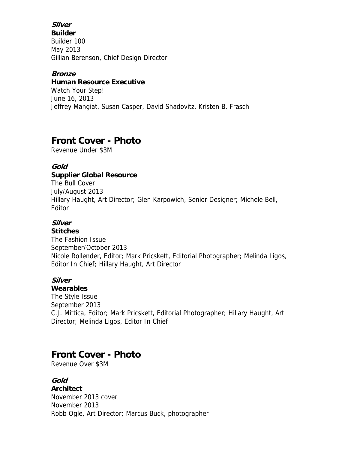### **Silver**

**Builder** Builder 100 May 2013 Gillian Berenson, Chief Design Director

#### **Bronze**

#### **Human Resource Executive**

Watch Your Step! June 16, 2013 Jeffrey Mangiat, Susan Casper, David Shadovitz, Kristen B. Frasch

# **Front Cover - Photo**

Revenue Under \$3M

### **Gold**

### **Supplier Global Resource**

The Bull Cover July/August 2013 Hillary Haught, Art Director; Glen Karpowich, Senior Designer; Michele Bell, Editor

## **Silver**

### **Stitches**

The Fashion Issue September/October 2013 Nicole Rollender, Editor; Mark Pricskett, Editorial Photographer; Melinda Ligos, Editor In Chief; Hillary Haught, Art Director

### **Silver**

### **Wearables**

The Style Issue September 2013 C.J. Mittica, Editor; Mark Pricskett, Editorial Photographer; Hillary Haught, Art Director; Melinda Ligos, Editor In Chief

# **Front Cover - Photo**

Revenue Over \$3M

**Gold Architect** November 2013 cover November 2013 Robb Ogle, Art Director; Marcus Buck, photographer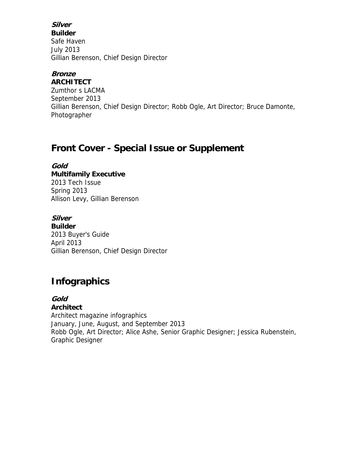## **Silver**

**Builder** Safe Haven July 2013 Gillian Berenson, Chief Design Director

# **Bronze**

**ARCHITECT** Zumthor s LACMA September 2013 Gillian Berenson, Chief Design Director; Robb Ogle, Art Director; Bruce Damonte, Photographer

# **Front Cover - Special Issue or Supplement**

**Gold Multifamily Executive** 2013 Tech Issue Spring 2013 Allison Levy, Gillian Berenson

### **Silver**

**Builder** 2013 Buyer's Guide April 2013 Gillian Berenson, Chief Design Director

# **Infographics**

## **Gold**

### **Architect**

Architect magazine infographics January, June, August, and September 2013 Robb Ogle, Art Director; Alice Ashe, Senior Graphic Designer; Jessica Rubenstein, Graphic Designer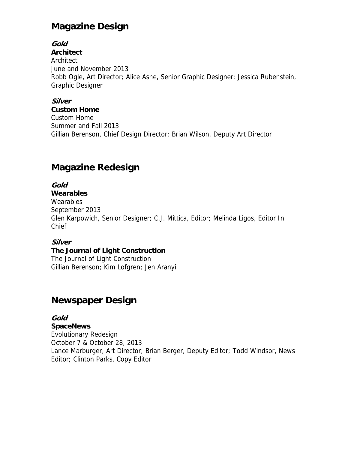# **Magazine Design**

## **Gold**

**Architect** Architect June and November 2013 Robb Ogle, Art Director; Alice Ashe, Senior Graphic Designer; Jessica Rubenstein, Graphic Designer

### **Silver**

**Custom Home** Custom Home Summer and Fall 2013 Gillian Berenson, Chief Design Director; Brian Wilson, Deputy Art Director

# **Magazine Redesign**

## **Gold**

### **Wearables**

**Wearables** September 2013 Glen Karpowich, Senior Designer; C.J. Mittica, Editor; Melinda Ligos, Editor In Chief

### **Silver**

### **The Journal of Light Construction**

The Journal of Light Construction Gillian Berenson; Kim Lofgren; Jen Aranyi

# **Newspaper Design**

### **Gold**

**SpaceNews** Evolutionary Redesign October 7 & October 28, 2013 Lance Marburger, Art Director; Brian Berger, Deputy Editor; Todd Windsor, News Editor; Clinton Parks, Copy Editor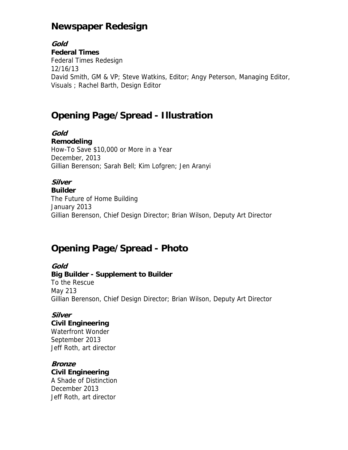# **Newspaper Redesign**

**Gold Federal Times** Federal Times Redesign 12/16/13 David Smith, GM & VP; Steve Watkins, Editor; Angy Peterson, Managing Editor, Visuals ; Rachel Barth, Design Editor

# **Opening Page/Spread - Illustration**

**Gold Remodeling** How-To Save \$10,000 or More in a Year December, 2013 Gillian Berenson; Sarah Bell; Kim Lofgren; Jen Aranyi

# **Silver**

**Builder** The Future of Home Building January 2013 Gillian Berenson, Chief Design Director; Brian Wilson, Deputy Art Director

# **Opening Page/Spread - Photo**

### **Gold**

**Big Builder - Supplement to Builder** To the Rescue May 213 Gillian Berenson, Chief Design Director; Brian Wilson, Deputy Art Director

### **Silver**

### **Civil Engineering**

Waterfront Wonder September 2013 Jeff Roth, art director

# **Bronze**

**Civil Engineering** A Shade of Distinction

December 2013 Jeff Roth, art director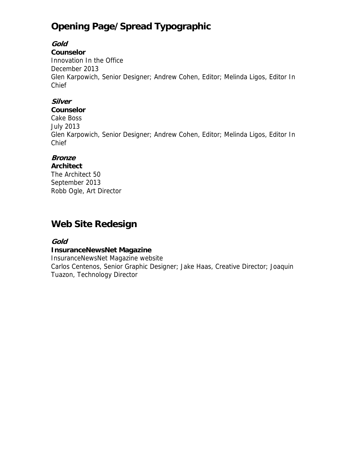# **Opening Page/Spread Typographic**

### **Gold**

### **Counselor**

Innovation In the Office December 2013 Glen Karpowich, Senior Designer; Andrew Cohen, Editor; Melinda Ligos, Editor In Chief

### **Silver**

#### **Counselor**

Cake Boss July 2013 Glen Karpowich, Senior Designer; Andrew Cohen, Editor; Melinda Ligos, Editor In Chief

## **Bronze**

**Architect** The Architect 50 September 2013 Robb Ogle, Art Director

# **Web Site Redesign**

### **Gold**

### **InsuranceNewsNet Magazine**

InsuranceNewsNet Magazine website Carlos Centenos, Senior Graphic Designer; Jake Haas, Creative Director; Joaquin Tuazon, Technology Director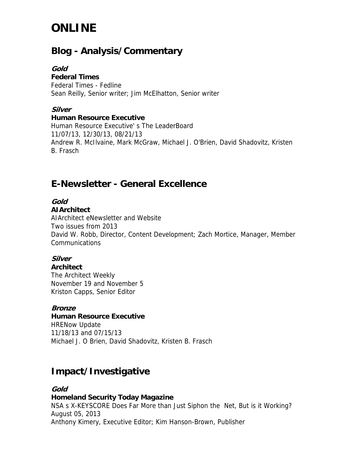# **ONLINE**

# **Blog - Analysis/Commentary**

### **Gold**

#### **Federal Times**

Federal Times - Fedline Sean Reilly, Senior writer; Jim McElhatton, Senior writer

### **Silver**

#### **Human Resource Executive**

Human Resource Executive' s The LeaderBoard 11/07/13, 12/30/13, 08/21/13 Andrew R. McIlvaine, Mark McGraw, Michael J. O'Brien, David Shadovitz, Kristen B. Frasch

# **E-Newsletter - General Excellence**

## **Gold**

### **AIArchitect**

AIArchitect eNewsletter and Website Two issues from 2013 David W. Robb, Director, Content Development; Zach Mortice, Manager, Member Communications

## **Silver**

### **Architect**

The Architect Weekly November 19 and November 5 Kriston Capps, Senior Editor

### **Bronze**

### **Human Resource Executive**

HRENow Update 11/18/13 and 07/15/13 Michael J. O Brien, David Shadovitz, Kristen B. Frasch

# **Impact/Investigative**

#### **Gold Homeland Security Today Magazine** NSA s X-KEYSCORE Does Far More than Just Siphon the Net, But is it Working? August 05, 2013 Anthony Kimery, Executive Editor; Kim Hanson-Brown, Publisher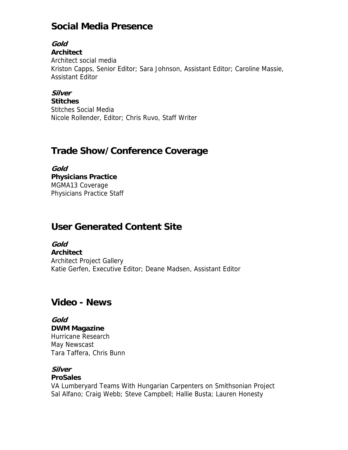# **Social Media Presence**

## **Gold**

**Architect**

Architect social media Kriston Capps, Senior Editor; Sara Johnson, Assistant Editor; Caroline Massie, Assistant Editor

### **Silver**

**Stitches** Stitches Social Media Nicole Rollender, Editor; Chris Ruvo, Staff Writer

# **Trade Show/Conference Coverage**

**Gold Physicians Practice** MGMA13 Coverage Physicians Practice Staff

# **User Generated Content Site**

**Gold Architect** Architect Project Gallery Katie Gerfen, Executive Editor; Deane Madsen, Assistant Editor

# **Video - News**

**Gold DWM Magazine** Hurricane Research May Newscast Tara Taffera, Chris Bunn

## **Silver**

### **ProSales**

VA Lumberyard Teams With Hungarian Carpenters on Smithsonian Project Sal Alfano; Craig Webb; Steve Campbell; Hallie Busta; Lauren Honesty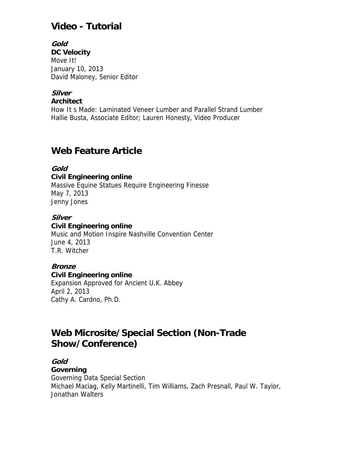# **Video - Tutorial**

#### **Gold DC Velocity** Move It! January 10, 2013 David Maloney, Senior Editor

### **Silver**

**Architect**

How It s Made: Laminated Veneer Lumber and Parallel Strand Lumber Hallie Busta, Associate Editor; Lauren Honesty, Video Producer

# **Web Feature Article**

### **Gold**

**Civil Engineering online** Massive Equine Statues Require Engineering Finesse May 7, 2013 Jenny Jones

### **Silver**

### **Civil Engineering online**

Music and Motion Inspire Nashville Convention Center June 4, 2013 T.R. Witcher

### **Bronze**

### **Civil Engineering online**

Expansion Approved for Ancient U.K. Abbey April 2, 2013 Cathy A. Cardno, Ph.D.

# **Web Microsite/Special Section (Non-Trade Show/Conference)**

# **Gold**

### **Governing**

Governing Data Special Section Michael Maciag, Kelly Martinelli, Tim Williams, Zach Presnall, Paul W. Taylor, Jonathan Walters